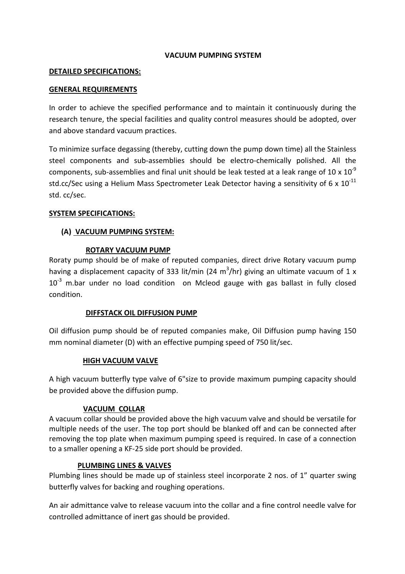### VACUUM PUMPING SYSTEM

#### DETAILED SPECIFICATIONS:

### GENERAL REQUIREMENTS

In order to achieve the specified performance and to maintain it continuously during the research tenure, the special facilities and quality control measures should be adopted, over and above standard vacuum practices.

To minimize surface degassing (thereby, cutting down the pump down time) all the Stainless steel components and sub-assemblies should be electro-chemically polished. All the components, sub-assemblies and final unit should be leak tested at a leak range of 10 x  $10^{-9}$ std.cc/Sec using a Helium Mass Spectrometer Leak Detector having a sensitivity of 6 x  $10^{-11}$ std. cc/sec.

### SYSTEM SPECIFICATIONS:

# (A) VACUUM PUMPING SYSTEM:

# ROTARY VACUUM PUMP

Roraty pump should be of make of reputed companies, direct drive Rotary vacuum pump having a displacement capacity of 333 lit/min (24 m<sup>3</sup>/hr) giving an ultimate vacuum of 1 x  $10^{-3}$  m.bar under no load condition on Mcleod gauge with gas ballast in fully closed condition.

### DIFFSTACK OIL DIFFUSION PUMP

Oil diffusion pump should be of reputed companies make, Oil Diffusion pump having 150 mm nominal diameter (D) with an effective pumping speed of 750 lit/sec.

### HIGH VACUUM VALVE

A high vacuum butterfly type valve of 6"size to provide maximum pumping capacity should be provided above the diffusion pump.

### VACUUM COLLAR

A vacuum collar should be provided above the high vacuum valve and should be versatile for multiple needs of the user. The top port should be blanked off and can be connected after removing the top plate when maximum pumping speed is required. In case of a connection to a smaller opening a KF-25 side port should be provided.

### PLUMBING LINES & VALVES

Plumbing lines should be made up of stainless steel incorporate 2 nos. of 1" quarter swing butterfly valves for backing and roughing operations.

An air admittance valve to release vacuum into the collar and a fine control needle valve for controlled admittance of inert gas should be provided.